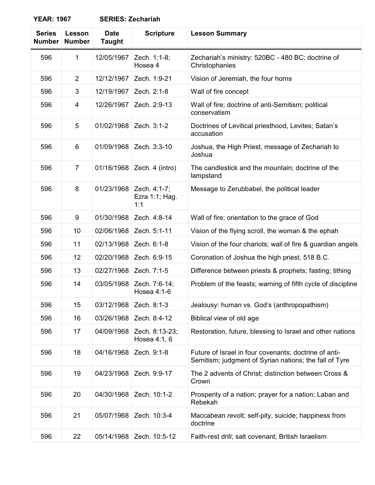## **YEAR: 1967 SERIES: Zechariah**

| <b>Series</b><br><b>Number</b> | Lesson<br><b>Number</b> | <b>Date</b><br><b>Taught</b> | <b>Scripture</b>                      | <b>Lesson Summary</b>                                                                                           |
|--------------------------------|-------------------------|------------------------------|---------------------------------------|-----------------------------------------------------------------------------------------------------------------|
| 596                            | 1                       | 12/05/1967                   | Zech. 1:1-8;<br>Hosea 4               | Zechariah's ministry: 520BC - 480 BC; doctrine of<br>Christophanies                                             |
| 596                            | $\overline{2}$          | 12/12/1967                   | Zech. 1:9-21                          | Vision of Jeremiah, the four horns                                                                              |
| 596                            | 3                       | 12/19/1967                   | Zech. 2:1-8                           | Wall of fire concept                                                                                            |
| 596                            | 4                       | 12/26/1967                   | Zech. 2:9-13                          | Wall of fire; doctrine of anti-Semitism; political<br>conservatism                                              |
| 596                            | 5                       | 01/02/1968                   | Zech. 3:1-2                           | Doctrines of Levitical priesthood, Levites; Satan's<br>accusation                                               |
| 596                            | 6                       | 01/09/1968                   | Zech. 3:3-10                          | Joshua, the High Priest, message of Zechariah to<br>Joshua                                                      |
| 596                            | $\overline{7}$          | 01/16/1968                   | Zech. 4 (intro)                       | The candlestick and the mountain; doctrine of the<br>lampstand                                                  |
| 596                            | 8                       | 01/23/1968                   | Zech. 4:1-7;<br>Ezra 1:1; Hag.<br>1:1 | Message to Zerubbabel, the political leader                                                                     |
| 596                            | 9                       | 01/30/1968                   | Zech. 4:8-14                          | Wall of fire; orientation to the grace of God                                                                   |
| 596                            | 10                      | 02/06/1968                   | Zech. 5:1-11                          | Vision of the flying scroll, the woman & the ephah                                                              |
| 596                            | 11                      | 02/13/1968                   | Zech. 6:1-8                           | Vision of the four chariots; wall of fire & guardian angels                                                     |
| 596                            | 12                      | 02/20/1968                   | Zech. 6:9-15                          | Coronation of Joshua the high priest, 518 B.C.                                                                  |
| 596                            | 13                      | 02/27/1968                   | Zech. 7:1-5                           | Difference between priests & prophets; fasting; tithing                                                         |
| 596                            | 14                      | 03/05/1968                   | Zech. 7:6-14;<br>Hosea 4:1-6          | Problem of the feasts; warning of fifth cycle of discipline                                                     |
| 596                            | 15                      | 03/12/1968                   | Zech. 8:1-3                           | Jealousy: human vs. God's (anthropopathism)                                                                     |
| 596                            | 16                      | 03/26/1968                   | Zech. 8:4-12                          | Biblical view of old age                                                                                        |
| 596                            | 17                      | 04/09/1968                   | Zech. 8:13-23;<br>Hosea 4:1, 6        | Restoration, future, blessing to Israel and other nations                                                       |
| 596                            | 18                      | 04/16/1968                   | Zech. 9:1-8                           | Future of Israel in four covenants; doctrine of anti-<br>Semitism; judgment of Syrian nations; the fall of Tyre |
| 596                            | 19                      | 04/23/1968                   | Zech. 9:9-17                          | The 2 advents of Christ; distinction between Cross &<br>Crown                                                   |
| 596                            | 20                      | 04/30/1968                   | Zech. 10:1-2                          | Prosperity of a nation; prayer for a nation; Laban and<br>Rebekah                                               |
| 596                            | 21                      | 05/07/1968                   | Zech. 10:3-4                          | Maccabean revolt; self-pity, suicide; happiness from<br>doctrine                                                |
| 596                            | 22                      | 05/14/1968                   | Zech. 10:5-12                         | Faith-rest drill; salt covenant; British Israelism                                                              |